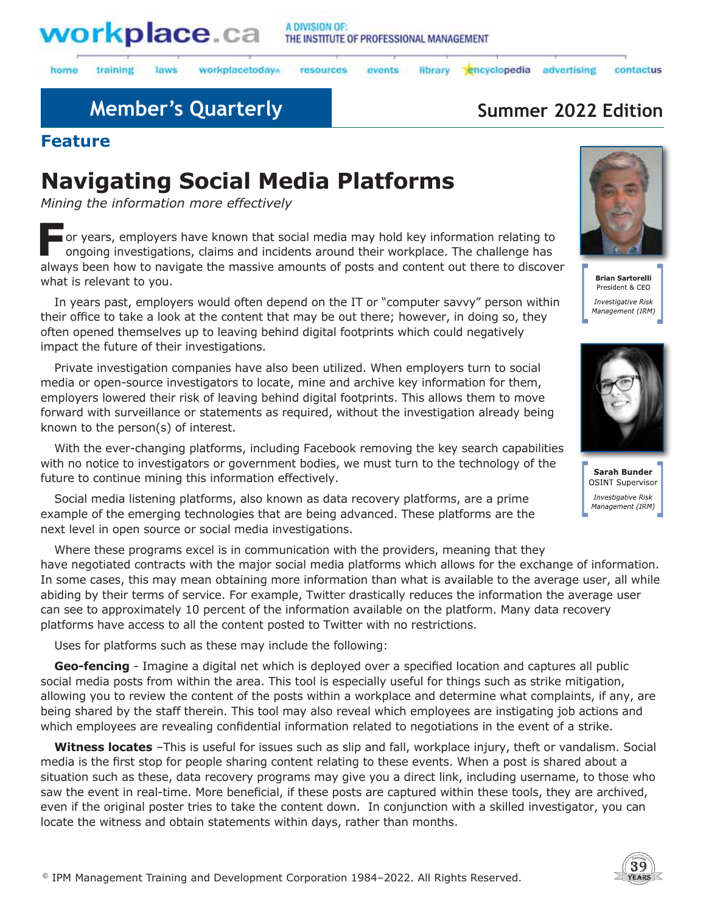

laws

home training workplacetodays

#### library encyclopedia resources events

advertising

## **Member's Quarterly <b>Summer 2022 Edition**

### **Feature**

# **Navigating Social Media Platforms**

*Mining the information more effectively*

**F**or years, employers have known that social media may hold key information relating to ongoing investigations, claims and incidents around their workplace. The challenge has always been how to navigate the massive amounts of posts and content out there to discover what is relevant to you.



contactus

**Brian Sartorelli** President & CEO Investigative Risk Management (IRM)



Sarah Bunder OSINT Supervisor Investigative Risk Management (IRM)

In years past, employers would often depend on the IT or "computer savvy" person within their office to take a look at the content that may be out there; however, in doing so, they often opened themselves up to leaving behind digital footprints which could negatively impact the future of their investigations.

Private investigation companies have also been utilized. When employers turn to social media or open-source investigators to locate, mine and archive key information for them, employers lowered their risk of leaving behind digital footprints. This allows them to move forward with surveillance or statements as required, without the investigation already being known to the person(s) of interest.

With the ever-changing platforms, including Facebook removing the key search capabilities with no notice to investigators or government bodies, we must turn to the technology of the future to continue mining this information effectively.

Social media listening platforms, also known as data recovery platforms, are a prime example of the emerging technologies that are being advanced. These platforms are the next level in open source or social media investigations.

Where these programs excel is in communication with the providers, meaning that they have negotiated contracts with the major social media platforms which allows for the exchange of information. In some cases, this may mean obtaining more information than what is available to the average user, all while abiding by their terms of service. For example, Twitter drastically reduces the information the average user can see to approximately 10 percent of the information available on the platform. Many data recovery platforms have access to all the content posted to Twitter with no restrictions.

Uses for platforms such as these may include the following:

**Geo-fencing** - Imagine a digital net which is deployed over a specified location and captures all public social media posts from within the area. This tool is especially useful for things such as strike mitigation, allowing you to review the content of the posts within a workplace and determine what complaints, if any, are being shared by the staff therein. This tool may also reveal which employees are instigating job actions and which employees are revealing confidential information related to negotiations in the event of a strike.

**Witness locates** –This is useful for issues such as slip and fall, workplace injury, theft or vandalism. Social media is the first stop for people sharing content relating to these events. When a post is shared about a situation such as these, data recovery programs may give you a direct link, including username, to those who saw the event in real-time. More beneficial, if these posts are captured within these tools, they are archived, even if the original poster tries to take the content down. In conjunction with a skilled investigator, you can locate the witness and obtain statements within days, rather than months.